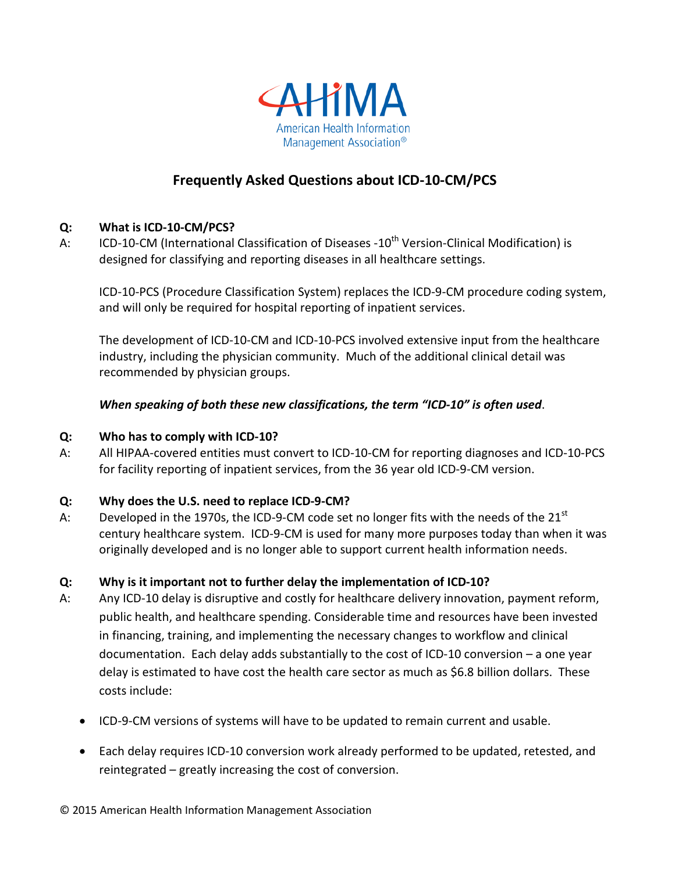

# **Frequently Asked Questions about ICD-10-CM/PCS**

# **Q: What is ICD-10-CM/PCS?**

A: ICD-10-CM (International Classification of Diseases -10<sup>th</sup> Version-Clinical Modification) is designed for classifying and reporting diseases in all healthcare settings.

ICD-10-PCS (Procedure Classification System) replaces the ICD-9-CM procedure coding system, and will only be required for hospital reporting of inpatient services.

The development of ICD-10-CM and ICD-10-PCS involved extensive input from the healthcare industry, including the physician community. Much of the additional clinical detail was recommended by physician groups.

# *When speaking of both these new classifications, the term "ICD-10" is often used*.

#### **Q: Who has to comply with ICD-10?**

A: All HIPAA-covered entities must convert to ICD-10-CM for reporting diagnoses and ICD-10-PCS for facility reporting of inpatient services, from the 36 year old ICD-9-CM version.

#### **Q: Why does the U.S. need to replace ICD-9-CM?**

A: Developed in the 1970s, the ICD-9-CM code set no longer fits with the needs of the  $21<sup>st</sup>$ century healthcare system. ICD-9-CM is used for many more purposes today than when it was originally developed and is no longer able to support current health information needs.

#### **Q: Why is it important not to further delay the implementation of ICD-10?**

- A: Any ICD-10 delay is disruptive and costly for healthcare delivery innovation, payment reform, public health, and healthcare spending. Considerable time and resources have been invested in financing, training, and implementing the necessary changes to workflow and clinical documentation. Each delay adds substantially to the cost of ICD-10 conversion – a one year delay is estimated to have cost the health care sector as much as \$6.8 billion dollars. These costs include:
	- ICD-9-CM versions of systems will have to be updated to remain current and usable.
	- Each delay requires ICD-10 conversion work already performed to be updated, retested, and reintegrated – greatly increasing the cost of conversion.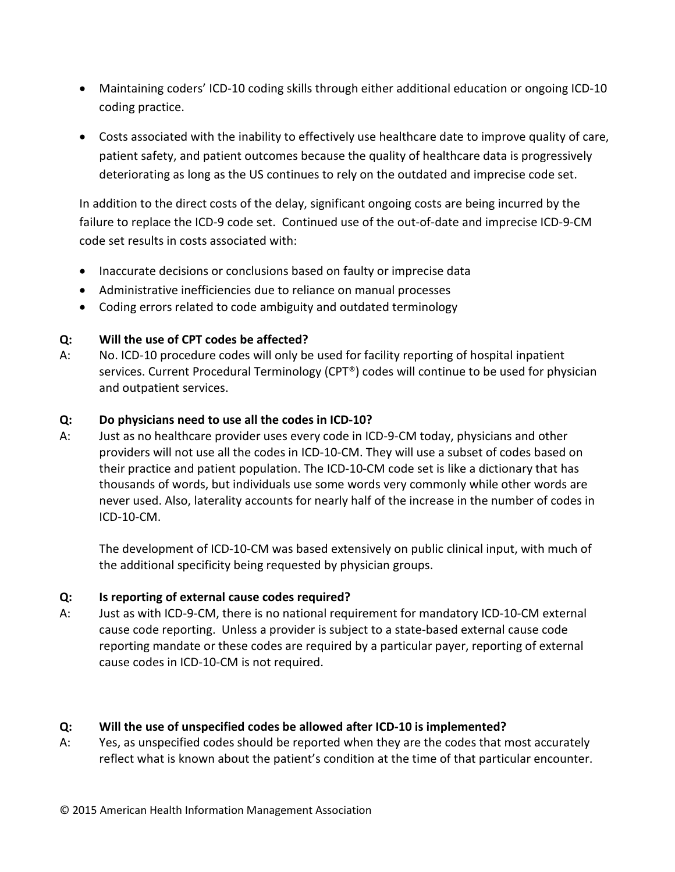- Maintaining coders' ICD-10 coding skills through either additional education or ongoing ICD-10 coding practice.
- Costs associated with the inability to effectively use healthcare date to improve quality of care, patient safety, and patient outcomes because the quality of healthcare data is progressively deteriorating as long as the US continues to rely on the outdated and imprecise code set.

In addition to the direct costs of the delay, significant ongoing costs are being incurred by the failure to replace the ICD-9 code set. Continued use of the out-of-date and imprecise ICD-9-CM code set results in costs associated with:

- Inaccurate decisions or conclusions based on faulty or imprecise data
- Administrative inefficiencies due to reliance on manual processes
- Coding errors related to code ambiguity and outdated terminology

# **Q: Will the use of CPT codes be affected?**

A: No. ICD-10 procedure codes will only be used for facility reporting of hospital inpatient services. Current Procedural Terminology (CPT®) codes will continue to be used for physician and outpatient services.

#### **Q: Do physicians need to use all the codes in ICD-10?**

A: Just as no healthcare provider uses every code in ICD-9-CM today, physicians and other providers will not use all the codes in ICD-10-CM. They will use a subset of codes based on their practice and patient population. The ICD-10-CM code set is like a dictionary that has thousands of words, but individuals use some words very commonly while other words are never used. Also, laterality accounts for nearly half of the increase in the number of codes in ICD-10-CM.

The development of ICD-10-CM was based extensively on public clinical input, with much of the additional specificity being requested by physician groups.

#### **Q: Is reporting of external cause codes required?**

A: Just as with ICD-9-CM, there is no national requirement for mandatory ICD-10-CM external cause code reporting. Unless a provider is subject to a state-based external cause code reporting mandate or these codes are required by a particular payer, reporting of external cause codes in ICD-10-CM is not required.

#### **Q: Will the use of unspecified codes be allowed after ICD-10 is implemented?**

A: Yes, as unspecified codes should be reported when they are the codes that most accurately reflect what is known about the patient's condition at the time of that particular encounter.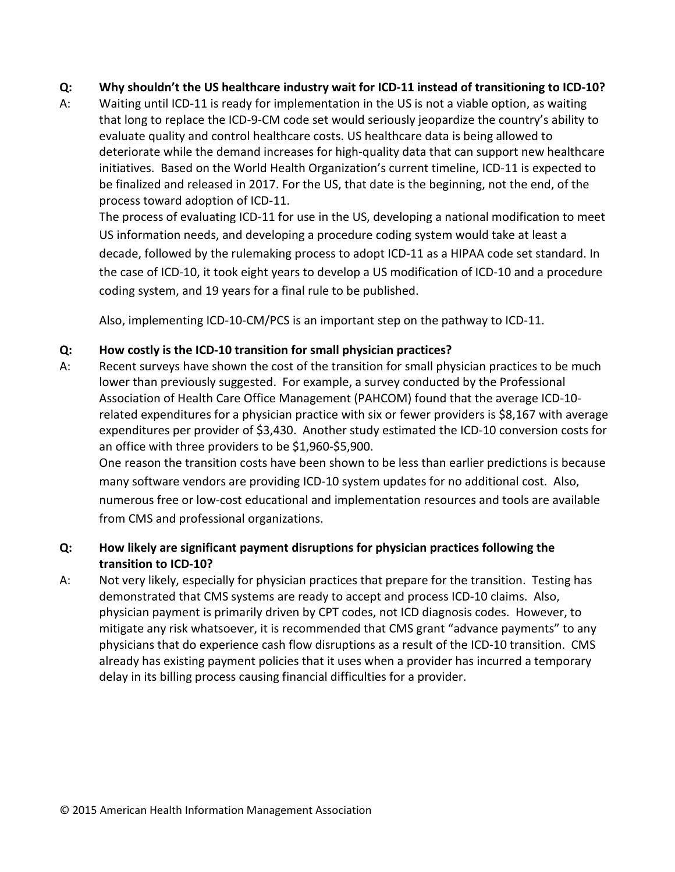# **Q: Why shouldn't the US healthcare industry wait for ICD-11 instead of transitioning to ICD-10?**

A: Waiting until ICD-11 is ready for implementation in the US is not a viable option, as waiting that long to replace the ICD-9-CM code set would seriously jeopardize the country's ability to evaluate quality and control healthcare costs. US healthcare data is being allowed to deteriorate while the demand increases for high-quality data that can support new healthcare initiatives. Based on the World Health Organization's current timeline, ICD-11 is expected to be finalized and released in 2017. For the US, that date is the beginning, not the end, of the process toward adoption of ICD-11.

The process of evaluating ICD-11 for use in the US, developing a national modification to meet US information needs, and developing a procedure coding system would take at least a decade, followed by the rulemaking process to adopt ICD-11 as a HIPAA code set standard. In the case of ICD-10, it took eight years to develop a US modification of ICD-10 and a procedure coding system, and 19 years for a final rule to be published.

Also, implementing ICD-10-CM/PCS is an important step on the pathway to ICD-11.

# **Q: How costly is the ICD-10 transition for small physician practices?**

A: Recent surveys have shown the cost of the transition for small physician practices to be much lower than previously suggested. For example, a survey conducted by the Professional Association of Health Care Office Management (PAHCOM) found that the average ICD-10 related expenditures for a physician practice with six or fewer providers is \$8,167 with average expenditures per provider of \$3,430. Another study estimated the ICD-10 conversion costs for an office with three providers to be \$1,960-\$5,900.

One reason the transition costs have been shown to be less than earlier predictions is because many software vendors are providing ICD-10 system updates for no additional cost. Also, numerous free or low-cost educational and implementation resources and tools are available from CMS and professional organizations.

# **Q: How likely are significant payment disruptions for physician practices following the transition to ICD-10?**

A: Not very likely, especially for physician practices that prepare for the transition. Testing has demonstrated that CMS systems are ready to accept and process ICD-10 claims. Also, physician payment is primarily driven by CPT codes, not ICD diagnosis codes. However, to mitigate any risk whatsoever, it is recommended that CMS grant "advance payments" to any physicians that do experience cash flow disruptions as a result of the ICD-10 transition. CMS already has existing payment policies that it uses when a provider has incurred a temporary delay in its billing process causing financial difficulties for a provider.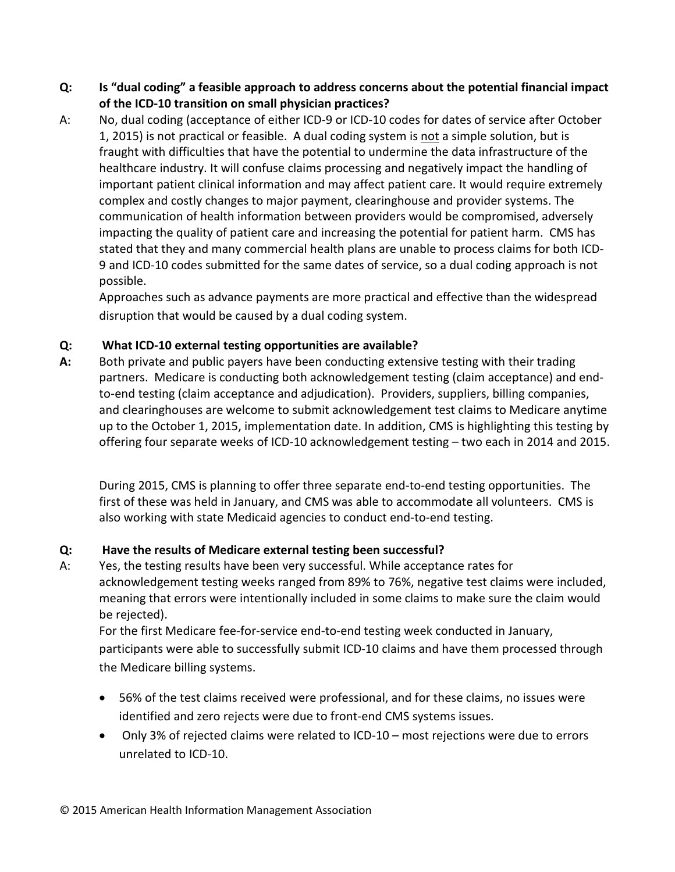- **Q: Is "dual coding" a feasible approach to address concerns about the potential financial impact of the ICD-10 transition on small physician practices?**
- A: No, dual coding (acceptance of either ICD-9 or ICD-10 codes for dates of service after October 1, 2015) is not practical or feasible. A dual coding system is not a simple solution, but is fraught with difficulties that have the potential to undermine the data infrastructure of the healthcare industry. It will confuse claims processing and negatively impact the handling of important patient clinical information and may affect patient care. It would require extremely complex and costly changes to major payment, clearinghouse and provider systems. The communication of health information between providers would be compromised, adversely impacting the quality of patient care and increasing the potential for patient harm. CMS has stated that they and many commercial health plans are unable to process claims for both ICD-9 and ICD-10 codes submitted for the same dates of service, so a dual coding approach is not possible.

Approaches such as advance payments are more practical and effective than the widespread disruption that would be caused by a dual coding system.

# **Q: What ICD-10 external testing opportunities are available?**

**A:** Both private and public payers have been conducting extensive testing with their trading partners. Medicare is conducting both acknowledgement testing (claim acceptance) and endto-end testing (claim acceptance and adjudication). Providers, suppliers, billing companies, and clearinghouses are welcome to submit acknowledgement test claims to Medicare anytime up to the October 1, 2015, implementation date. In addition, CMS is highlighting this testing by offering four separate weeks of ICD-10 acknowledgement testing – two each in 2014 and 2015.

During 2015, CMS is planning to offer three separate end-to-end testing opportunities. The first of these was held in January, and CMS was able to accommodate all volunteers. CMS is also working with state Medicaid agencies to conduct end-to-end testing.

# **Q: Have the results of Medicare external testing been successful?**

A: Yes, the testing results have been very successful. While acceptance rates for acknowledgement testing weeks ranged from 89% to 76%, negative test claims were included, meaning that errors were intentionally included in some claims to make sure the claim would be rejected).

For the first Medicare fee-for-service end-to-end testing week conducted in January, participants were able to successfully submit ICD-10 claims and have them processed through the Medicare billing systems.

- 56% of the test claims received were professional, and for these claims, no issues were identified and zero rejects were due to front-end CMS systems issues.
- Only 3% of rejected claims were related to ICD-10 most rejections were due to errors unrelated to ICD-10.